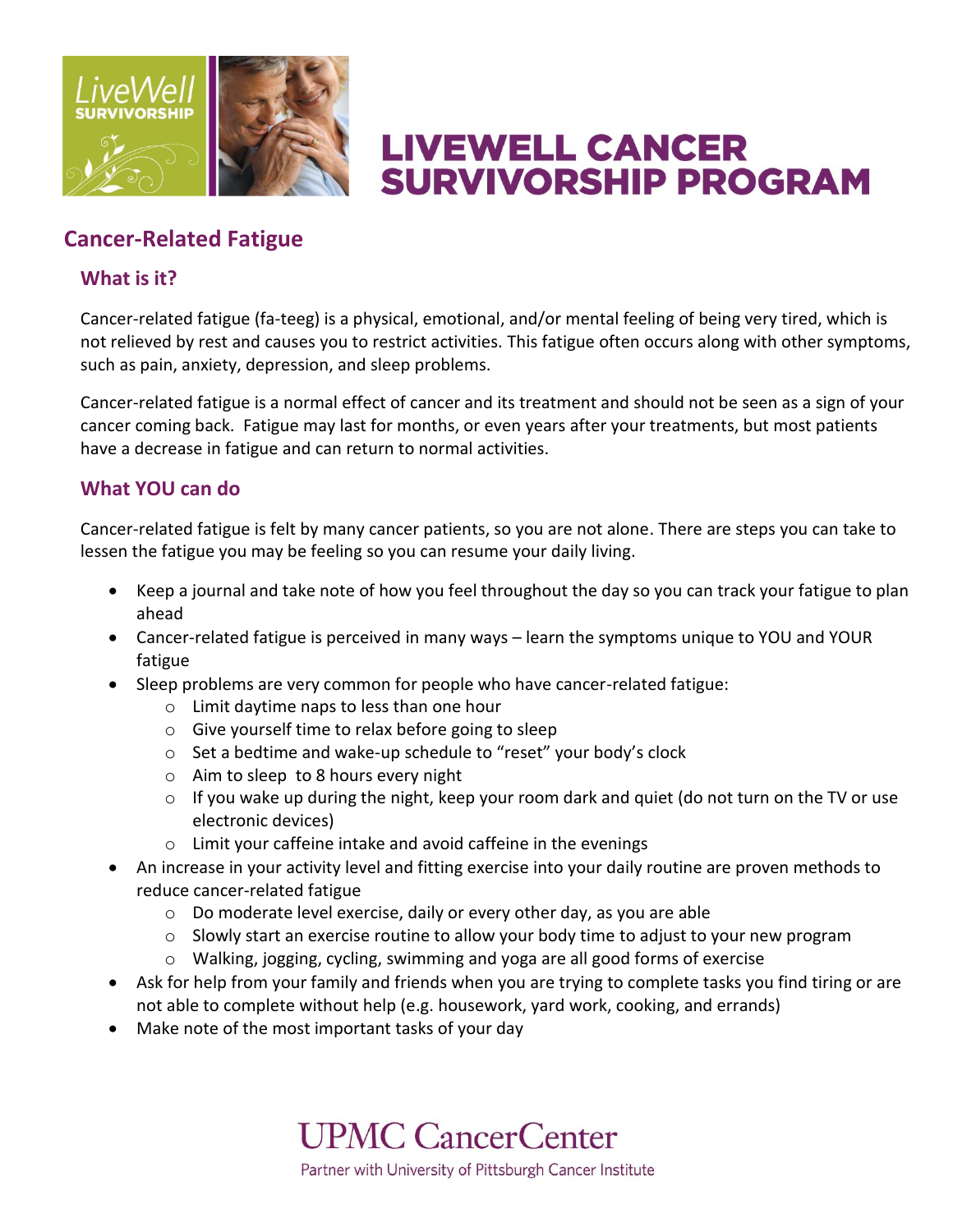

# **LIVEWELL CANCER SURVIVORSHIP PROGRAM**

### **Cancer-Related Fatigue**

### **What is it?**

Cancer-related fatigue (fa-teeg) is a physical, emotional, and/or mental feeling of being very tired, which is not relieved by rest and causes you to restrict activities. This fatigue often occurs along with other symptoms, such as pain, anxiety, depression, and sleep problems.

Cancer-related fatigue is a normal effect of cancer and its treatment and should not be seen as a sign of your cancer coming back. Fatigue may last for months, or even years after your treatments, but most patients have a decrease in fatigue and can return to normal activities.

### **What YOU can do**

Cancer-related fatigue is felt by many cancer patients, so you are not alone. There are steps you can take to lessen the fatigue you may be feeling so you can resume your daily living.

- Keep a journal and take note of how you feel throughout the day so you can track your fatigue to plan ahead
- Cancer-related fatigue is perceived in many ways learn the symptoms unique to YOU and YOUR fatigue
- Sleep problems are very common for people who have cancer-related fatigue:
	- o Limit daytime naps to less than one hour
	- o Give yourself time to relax before going to sleep
	- o Set a bedtime and wake-up schedule to "reset" your body's clock
	- o Aim to sleep to 8 hours every night
	- o If you wake up during the night, keep your room dark and quiet (do not turn on the TV or use electronic devices)
	- o Limit your caffeine intake and avoid caffeine in the evenings
- An increase in your activity level and fitting exercise into your daily routine are proven methods to reduce cancer-related fatigue
	- $\circ$  Do moderate level exercise, daily or every other day, as you are able
	- $\circ$  Slowly start an exercise routine to allow your body time to adjust to your new program
	- o Walking, jogging, cycling, swimming and yoga are all good forms of exercise
- Ask for help from your family and friends when you are trying to complete tasks you find tiring or are not able to complete without help (e.g. housework, yard work, cooking, and errands)
- Make note of the most important tasks of your day

**UPMC CancerCenter** Partner with University of Pittsburgh Cancer Institute